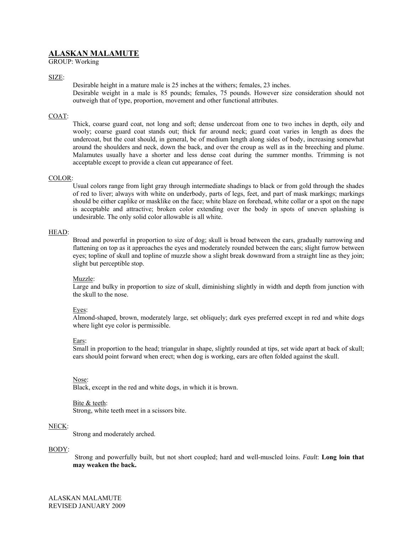# **ALASKAN MALAMUTE**

GROUP: Working

# SIZE:

Desirable height in a mature male is 25 inches at the withers; females, 23 inches. Desirable weight in a male is 85 pounds; females, 75 pounds. However size consideration should not outweigh that of type, proportion, movement and other functional attributes.

# COAT:

Thick, coarse guard coat, not long and soft; dense undercoat from one to two inches in depth, oily and wooly; coarse guard coat stands out; thick fur around neck; guard coat varies in length as does the undercoat, but the coat should, in general, be of medium length along sides of body, increasing somewhat around the shoulders and neck, down the back, and over the croup as well as in the breeching and plume. Malamutes usually have a shorter and less dense coat during the summer months. Trimming is not acceptable except to provide a clean cut appearance of feet.

# COLOR:

Usual colors range from light gray through intermediate shadings to black or from gold through the shades of red to liver; always with white on underbody, parts of legs, feet, and part of mask markings; markings should be either caplike or masklike on the face; white blaze on forehead, white collar or a spot on the nape is acceptable and attractive; broken color extending over the body in spots of uneven splashing is undesirable. The only solid color allowable is all white.

## HEAD:

Broad and powerful in proportion to size of dog; skull is broad between the ears, gradually narrowing and flattening on top as it approaches the eyes and moderately rounded between the ears; slight furrow between eyes; topline of skull and topline of muzzle show a slight break downward from a straight line as they join; slight but perceptible stop.

## Muzzle:

Large and bulky in proportion to size of skull, diminishing slightly in width and depth from junction with the skull to the nose.

## Eyes:

Almond-shaped, brown, moderately large, set obliquely; dark eyes preferred except in red and white dogs where light eye color is permissible.

## Ears:

Small in proportion to the head; triangular in shape, slightly rounded at tips, set wide apart at back of skull; ears should point forward when erect; when dog is working, ears are often folded against the skull.

Nose:

Black, except in the red and white dogs, in which it is brown.

# Bite & teeth:

Strong, white teeth meet in a scissors bite.

## NECK:

Strong and moderately arched.

## BODY:

Strong and powerfully built, but not short coupled; hard and well-muscled loins. *Fault*: **Long loin that may weaken the back.**